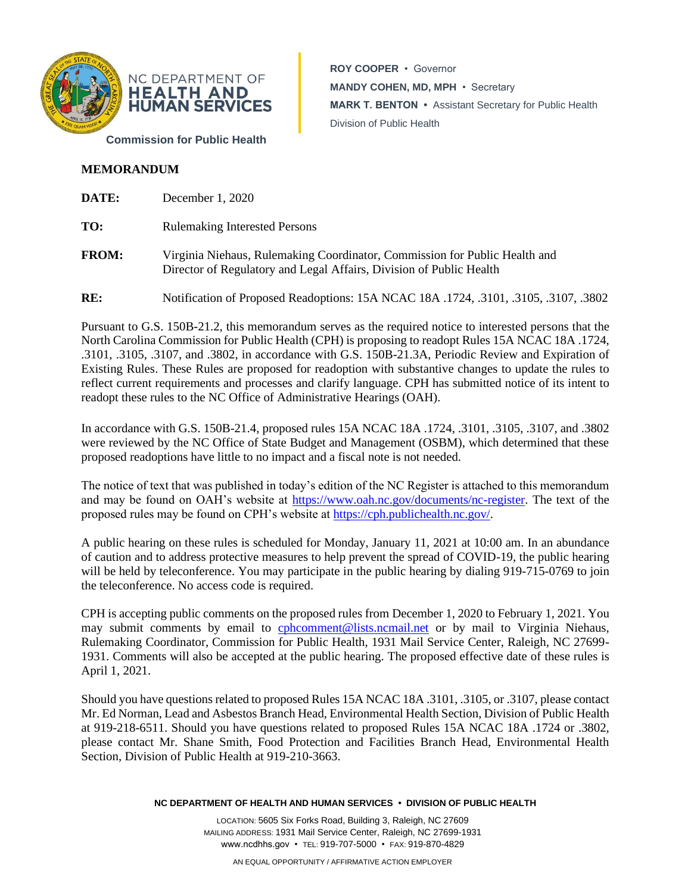

**ROY COOPER** • Governor **MANDY COHEN, MD, MPH** • Secretary **MARK T. BENTON •** Assistant Secretary for Public Health Division of Public Health

# **MEMORANDUM**

| DATE:        | December 1, 2020                                                                                                                                  |
|--------------|---------------------------------------------------------------------------------------------------------------------------------------------------|
| TO:          | <b>Rulemaking Interested Persons</b>                                                                                                              |
| <b>FROM:</b> | Virginia Niehaus, Rulemaking Coordinator, Commission for Public Health and<br>Director of Regulatory and Legal Affairs, Division of Public Health |

**RE:** Notification of Proposed Readoptions: 15A NCAC 18A .1724, .3101, .3105, .3107, .3802

Pursuant to G.S. 150B-21.2, this memorandum serves as the required notice to interested persons that the North Carolina Commission for Public Health (CPH) is proposing to readopt Rules 15A NCAC 18A .1724, .3101, .3105, .3107, and .3802, in accordance with G.S. 150B-21.3A, Periodic Review and Expiration of Existing Rules. These Rules are proposed for readoption with substantive changes to update the rules to reflect current requirements and processes and clarify language. CPH has submitted notice of its intent to readopt these rules to the NC Office of Administrative Hearings (OAH).

In accordance with G.S. 150B-21.4, proposed rules 15A NCAC 18A .1724, .3101, .3105, .3107, and .3802 were reviewed by the NC Office of State Budget and Management (OSBM), which determined that these proposed readoptions have little to no impact and a fiscal note is not needed.

The notice of text that was published in today's edition of the NC Register is attached to this memorandum and may be found on OAH's website at [https://www.oah.nc.gov/documents/nc-register.](https://www.oah.nc.gov/documents/nc-register) The text of the proposed rules may be found on CPH's website at [https://cph.publichealth.nc.gov/.](https://cph.publichealth.nc.gov/)

A public hearing on these rules is scheduled for Monday, January 11, 2021 at 10:00 am. In an abundance of caution and to address protective measures to help prevent the spread of COVID-19, the public hearing will be held by teleconference. You may participate in the public hearing by dialing 919-715-0769 to join the teleconference. No access code is required.

CPH is accepting public comments on the proposed rules from December 1, 2020 to February 1, 2021. You may submit comments by email to [cphcomment@lists.ncmail.net](mailto:cphcomment@lists.ncmail.net) or by mail to Virginia Niehaus, Rulemaking Coordinator, Commission for Public Health, 1931 Mail Service Center, Raleigh, NC 27699- 1931. Comments will also be accepted at the public hearing. The proposed effective date of these rules is April 1, 2021.

Should you have questions related to proposed Rules 15A NCAC 18A .3101, .3105, or .3107, please contact Mr. Ed Norman, Lead and Asbestos Branch Head, Environmental Health Section, Division of Public Health at 919-218-6511. Should you have questions related to proposed Rules 15A NCAC 18A .1724 or .3802, please contact Mr. Shane Smith, Food Protection and Facilities Branch Head, Environmental Health Section, Division of Public Health at 919-210-3663.

**NC DEPARTMENT OF HEALTH AND HUMAN SERVICES • DIVISION OF PUBLIC HEALTH**

LOCATION: 5605 Six Forks Road, Building 3, Raleigh, NC 27609 MAILING ADDRESS: 1931 Mail Service Center, Raleigh, NC 27699-1931 www.ncdhhs.gov • TEL: 919-707-5000 • FAX: 919-870-4829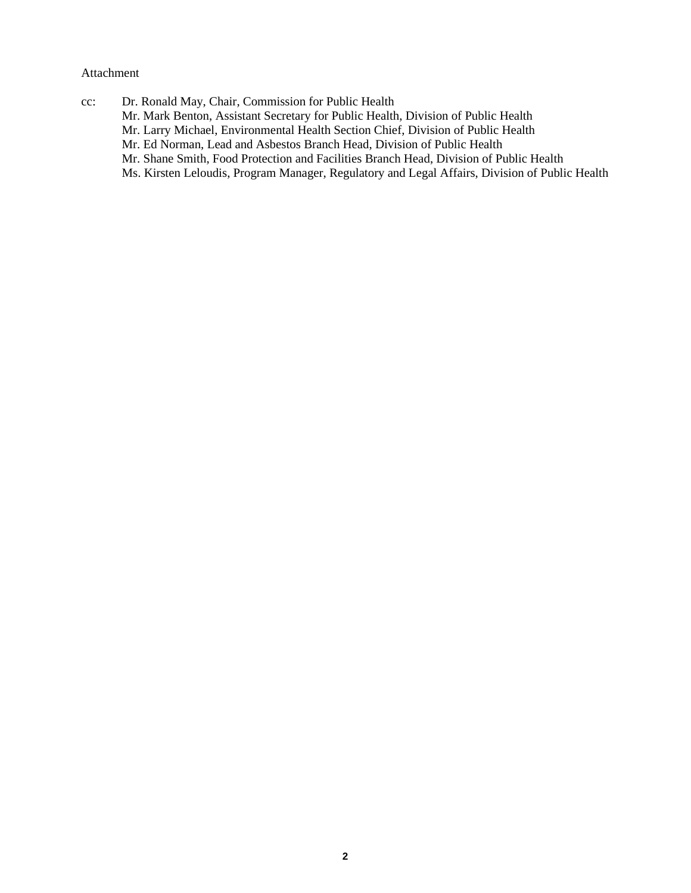## Attachment

cc: Dr. Ronald May, Chair, Commission for Public Health Mr. Mark Benton, Assistant Secretary for Public Health, Division of Public Health Mr. Larry Michael, Environmental Health Section Chief, Division of Public Health Mr. Ed Norman, Lead and Asbestos Branch Head, Division of Public Health Mr. Shane Smith, Food Protection and Facilities Branch Head, Division of Public Health Ms. Kirsten Leloudis, Program Manager, Regulatory and Legal Affairs, Division of Public Health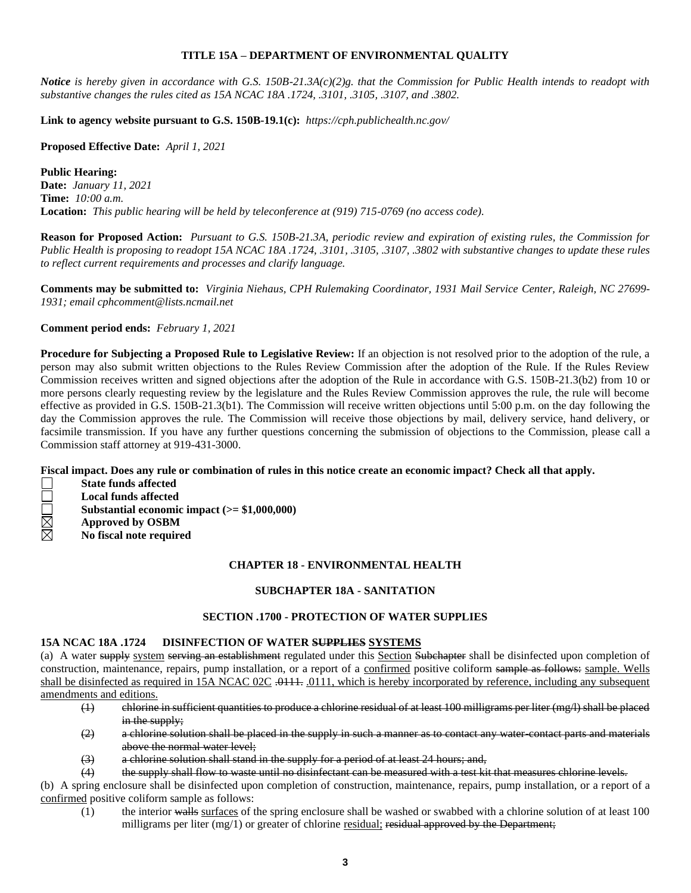### **TITLE 15A – DEPARTMENT OF ENVIRONMENTAL QUALITY**

*Notice is hereby given in accordance with G.S. 150B-21.3A(c)(2)g. that the Commission for Public Health intends to readopt with substantive changes the rules cited as 15A NCAC 18A .1724, .3101, .3105, .3107, and .3802.*

**Link to agency website pursuant to G.S. 150B-19.1(c):** *https://cph.publichealth.nc.gov/*

**Proposed Effective Date:** *April 1, 2021*

### **Public Hearing:**

**Date:** *January 11, 2021* **Time:** *10:00 a.m.* **Location:** *This public hearing will be held by teleconference at (919) 715-0769 (no access code).*

**Reason for Proposed Action:** *Pursuant to G.S. 150B-21.3A, periodic review and expiration of existing rules, the Commission for Public Health is proposing to readopt 15A NCAC 18A .1724, .3101, .3105, .3107, .3802 with substantive changes to update these rules to reflect current requirements and processes and clarify language.*

**Comments may be submitted to:** *Virginia Niehaus, CPH Rulemaking Coordinator, 1931 Mail Service Center, Raleigh, NC 27699- 1931; email cphcomment@lists.ncmail.net*

### **Comment period ends:** *February 1, 2021*

**Procedure for Subjecting a Proposed Rule to Legislative Review:** If an objection is not resolved prior to the adoption of the rule, a person may also submit written objections to the Rules Review Commission after the adoption of the Rule. If the Rules Review Commission receives written and signed objections after the adoption of the Rule in accordance with G.S. 150B-21.3(b2) from 10 or more persons clearly requesting review by the legislature and the Rules Review Commission approves the rule, the rule will become effective as provided in G.S. 150B-21.3(b1). The Commission will receive written objections until 5:00 p.m. on the day following the day the Commission approves the rule. The Commission will receive those objections by mail, delivery service, hand delivery, or facsimile transmission. If you have any further questions concerning the submission of objections to the Commission, please call a Commission staff attorney at 919-431-3000.

**Fiscal impact. Does any rule or combination of rules in this notice create an economic impact? Check all that apply.**

- **ODRIX** 
	- **Local funds affected Substantial economic impact (>= \$1,000,000)**
	- **Approved by OSBM**
		- **No fiscal note required**

**State funds affected**

## **CHAPTER 18 - ENVIRONMENTAL HEALTH**

#### **SUBCHAPTER 18A - SANITATION**

## **SECTION .1700 - PROTECTION OF WATER SUPPLIES**

#### **15A NCAC 18A .1724 DISINFECTION OF WATER SUPPLIES SYSTEMS**

(a) A water supply system serving an establishment regulated under this Section Subchapter shall be disinfected upon completion of construction, maintenance, repairs, pump installation, or a report of a confirmed positive coliform sample as follows: sample. Wells shall be disinfected as required in 15A NCAC 02C .0111, .0111, which is hereby incorporated by reference, including any subsequent amendments and editions.

- (1) chlorine in sufficient quantities to produce a chlorine residual of at least 100 milligrams per liter (mg/l) shall be placed in the supply;
- (2) a chlorine solution shall be placed in the supply in such a manner as to contact any water-contact parts and materials above the normal water level;
- (3) a chlorine solution shall stand in the supply for a period of at least 24 hours; and,
- (4) the supply shall flow to waste until no disinfectant can be measured with a test kit that measures chlorine levels.

(b) A spring enclosure shall be disinfected upon completion of construction, maintenance, repairs, pump installation, or a report of a confirmed positive coliform sample as follows:

 $(1)$  the interior walls surfaces of the spring enclosure shall be washed or swabbed with a chlorine solution of at least 100 milligrams per liter  $(mg/1)$  or greater of chlorine residual; residual approved by the Department;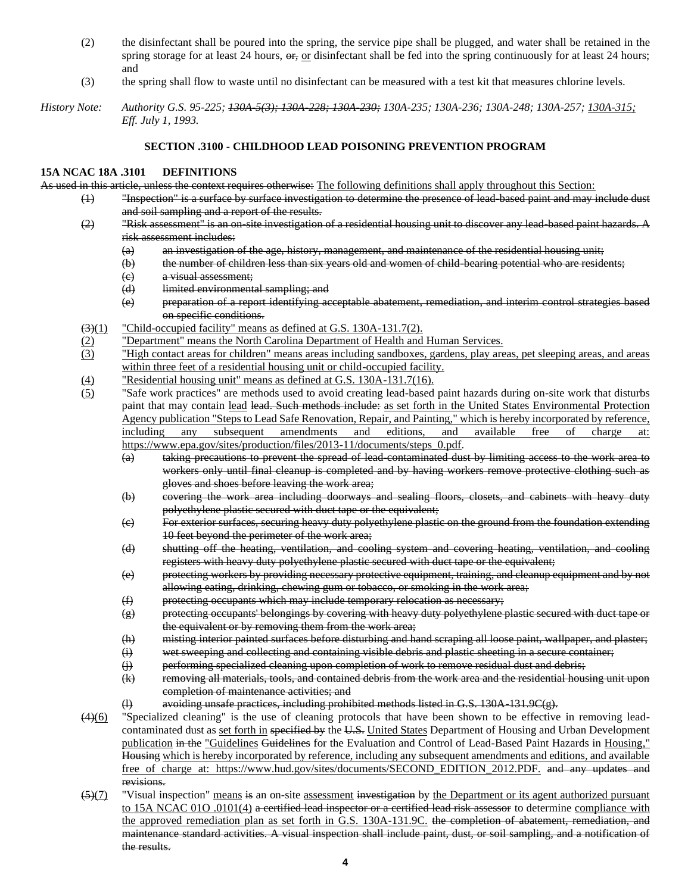- (2) the disinfectant shall be poured into the spring, the service pipe shall be plugged, and water shall be retained in the spring storage for at least 24 hours,  $\theta$ <sub>r</sub>, or disinfectant shall be fed into the spring continuously for at least 24 hours; and
- (3) the spring shall flow to waste until no disinfectant can be measured with a test kit that measures chlorine levels.

### **SECTION .3100 - CHILDHOOD LEAD POISONING PREVENTION PROGRAM**

#### **15A NCAC 18A .3101 DEFINITIONS**

As used in this article, unless the context requires otherwise: The following definitions shall apply throughout this Section:

- (1) "Inspection" is a surface by surface investigation to determine the presence of lead-based paint and may include dust and soil sampling and a report of the results.
- (2) "Risk assessment" is an on-site investigation of a residential housing unit to discover any lead-based paint hazards. A risk assessment includes:
	- (a) an investigation of the age, history, management, and maintenance of the residential housing unit;
	- (b) the number of children less than six years old and women of child-bearing potential who are residents;
	- (c) a visual assessment;
	- (d) limited environmental sampling; and
	- (e) preparation of a report identifying acceptable abatement, remediation, and interim control strategies based on specific conditions.
- $\left(\frac{3}{1}\right)$  "Child-occupied facility" means as defined at G.S. 130A-131.7(2).
- (2) "Department" means the North Carolina Department of Health and Human Services.
- (3) "High contact areas for children" means areas including sandboxes, gardens, play areas, pet sleeping areas, and areas within three feet of a residential housing unit or child-occupied facility.
- (4) "Residential housing unit" means as defined at G.S. 130A-131.7(16).
- (5) "Safe work practices" are methods used to avoid creating lead-based paint hazards during on-site work that disturbs paint that may contain lead lead. Such methods include: as set forth in the United States Environmental Protection Agency publication "Steps to Lead Safe Renovation, Repair, and Painting," which is hereby incorporated by reference, including any subsequent amendments and editions, and available free of charge at: https://www.epa.gov/sites/production/files/2013-11/documents/steps\_0.pdf.
	- (a) taking precautions to prevent the spread of lead-contaminated dust by limiting access to the work area to workers only until final cleanup is completed and by having workers remove protective clothing such as gloves and shoes before leaving the work area;
	- (b) covering the work area including doorways and sealing floors, closets, and cabinets with heavy duty polyethylene plastic secured with duct tape or the equivalent;
	- (c) For exterior surfaces, securing heavy duty polyethylene plastic on the ground from the foundation extending 10 feet beyond the perimeter of the work area;
	- (d) shutting off the heating, ventilation, and cooling system and covering heating, ventilation, and cooling registers with heavy duty polyethylene plastic secured with duct tape or the equivalent;
	- (e) protecting workers by providing necessary protective equipment, training, and cleanup equipment and by not allowing eating, drinking, chewing gum or tobacco, or smoking in the work area;
	- (f) protecting occupants which may include temporary relocation as necessary;
	- (g) protecting occupants' belongings by covering with heavy duty polyethylene plastic secured with duct tape or the equivalent or by removing them from the work area;
	- (h) misting interior painted surfaces before disturbing and hand scraping all loose paint, wallpaper, and plaster;
	- (i) wet sweeping and collecting and containing visible debris and plastic sheeting in a secure container;
	- (j) performing specialized cleaning upon completion of work to remove residual dust and debris;
	- (k) removing all materials, tools, and contained debris from the work area and the residential housing unit upon completion of maintenance activities; and
	- (l) avoiding unsafe practices, including prohibited methods listed in G.S. 130A-131.9C(g).
- (4)(6) "Specialized cleaning" is the use of cleaning protocols that have been shown to be effective in removing leadcontaminated dust as set forth in specified by the U.S. United States Department of Housing and Urban Development publication in the "Guidelines Guidelines for the Evaluation and Control of Lead-Based Paint Hazards in Housing," Housing which is hereby incorporated by reference, including any subsequent amendments and editions, and available free of charge at: https://www.hud.gov/sites/documents/SECOND\_EDITION\_2012.PDF. and any updates and revisions.
- $\frac{5}{7}$  "Visual inspection" means is an on-site assessment investigation by the Department or its agent authorized pursuant to 15A NCAC 01O .0101(4) a certified lead inspector or a certified lead risk assessor to determine compliance with the approved remediation plan as set forth in G.S. 130A-131.9C. the completion of abatement, remediation, and maintenance standard activities. A visual inspection shall include paint, dust, or soil sampling, and a notification of the results.

*History Note: Authority G.S. 95-225; 130A-5(3); 130A-228; 130A-230; 130A-235; 130A-236; 130A-248; 130A-257; 130A-315; Eff. July 1, 1993.*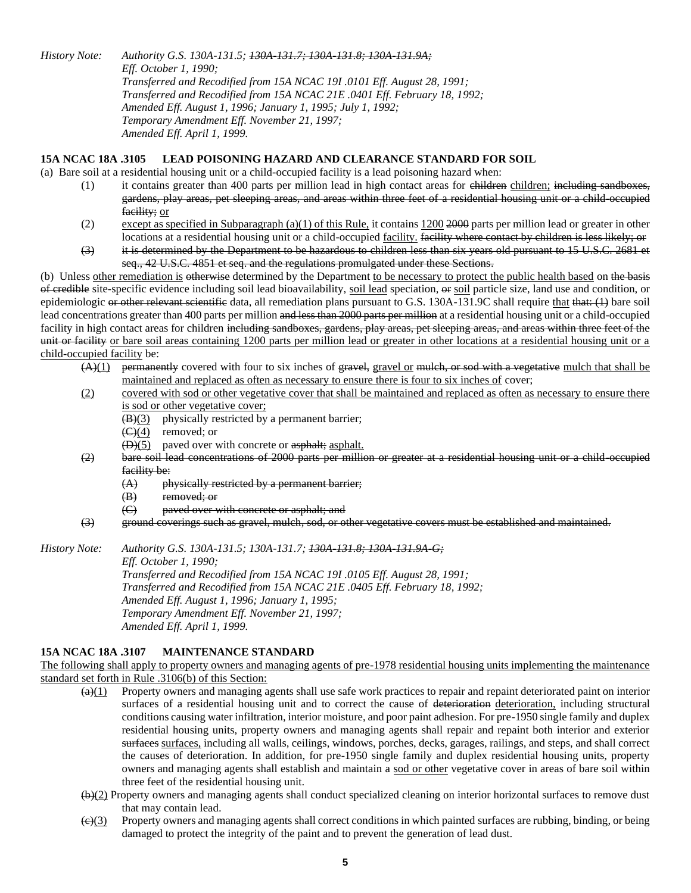*History Note: Authority G.S. 130A-131.5; 130A-131.7; 130A-131.8; 130A-131.9A; Eff. October 1, 1990; Transferred and Recodified from 15A NCAC 19I .0101 Eff. August 28, 1991; Transferred and Recodified from 15A NCAC 21E .0401 Eff. February 18, 1992; Amended Eff. August 1, 1996; January 1, 1995; July 1, 1992; Temporary Amendment Eff. November 21, 1997; Amended Eff. April 1, 1999.*

### **15A NCAC 18A .3105 LEAD POISONING HAZARD AND CLEARANCE STANDARD FOR SOIL**

(a) Bare soil at a residential housing unit or a child-occupied facility is a lead poisoning hazard when:

- $(1)$  it contains greater than 400 parts per million lead in high contact areas for  $e$ hildren children; including sandboxes, gardens, play areas, pet sleeping areas, and areas within three feet of a residential housing unit or a child-occupied facility; or
- (2) except as specified in Subparagraph (a)(1) of this Rule, it contains  $1200\,2000$  parts per million lead or greater in other locations at a residential housing unit or a child-occupied facility. facility where contact by children is less likely; or
- (3) it is determined by the Department to be hazardous to children less than six years old pursuant to 15 U.S.C. 2681 et seq., 42 U.S.C. 4851 et seq. and the regulations promulgated under these Sections.

(b) Unless other remediation is otherwise determined by the Department to be necessary to protect the public health based on the basis of credible site-specific evidence including soil lead bioavailability, soil lead speciation, or soil particle size, land use and condition, or epidemiologic or other relevant scientific data, all remediation plans pursuant to G.S. 130A-131.9C shall require that that: (1) bare soil lead concentrations greater than 400 parts per million and less than 2000 parts per million at a residential housing unit or a child-occupied facility in high contact areas for children including sandboxes, gardens, play areas, pet sleeping areas, and areas within three feet of the unit or facility or bare soil areas containing 1200 parts per million lead or greater in other locations at a residential housing unit or a child-occupied facility be:

- $(A)(1)$  permanently covered with four to six inches of gravel, gravel or mulch, or sod with a vegetative mulch that shall be maintained and replaced as often as necessary to ensure there is four to six inches of cover;
- (2) covered with sod or other vegetative cover that shall be maintained and replaced as often as necessary to ensure there is sod or other vegetative cover;
	- $(B)(3)$  physically restricted by a permanent barrier;
	- $\left(\frac{C}{A}\right)$  removed; or
	- $(D)(5)$  paved over with concrete or asphalt; asphalt.
- (2) bare soil lead concentrations of 2000 parts per million or greater at a residential housing unit or a child-occupied facility be:
	- (A) physically restricted by a permanent barrier;
	- (B) removed; or
	- (C) paved over with concrete or asphalt; and
- (3) ground coverings such as gravel, mulch, sod, or other vegetative covers must be established and maintained.

*History Note: Authority G.S. 130A-131.5; 130A-131.7; 130A-131.8; 130A-131.9A-G; Eff. October 1, 1990; Transferred and Recodified from 15A NCAC 19I .0105 Eff. August 28, 1991; Transferred and Recodified from 15A NCAC 21E .0405 Eff. February 18, 1992; Amended Eff. August 1, 1996; January 1, 1995; Temporary Amendment Eff. November 21, 1997; Amended Eff. April 1, 1999.*

## **15A NCAC 18A .3107 MAINTENANCE STANDARD**

The following shall apply to property owners and managing agents of pre-1978 residential housing units implementing the maintenance standard set forth in Rule .3106(b) of this Section:

- $\frac{a(1)}{a(1)}$  Property owners and managing agents shall use safe work practices to repair and repaint deteriorated paint on interior surfaces of a residential housing unit and to correct the cause of deterioration deterioration, including structural conditions causing water infiltration, interior moisture, and poor paint adhesion. For pre-1950 single family and duplex residential housing units, property owners and managing agents shall repair and repaint both interior and exterior surfaces surfaces, including all walls, ceilings, windows, porches, decks, garages, railings, and steps, and shall correct the causes of deterioration. In addition, for pre-1950 single family and duplex residential housing units, property owners and managing agents shall establish and maintain a sod or other vegetative cover in areas of bare soil within three feet of the residential housing unit.
- $(b)(2)$  Property owners and managing agents shall conduct specialized cleaning on interior horizontal surfaces to remove dust that may contain lead.
- $\left(\frac{c}{c}\right)$  Property owners and managing agents shall correct conditions in which painted surfaces are rubbing, binding, or being damaged to protect the integrity of the paint and to prevent the generation of lead dust.